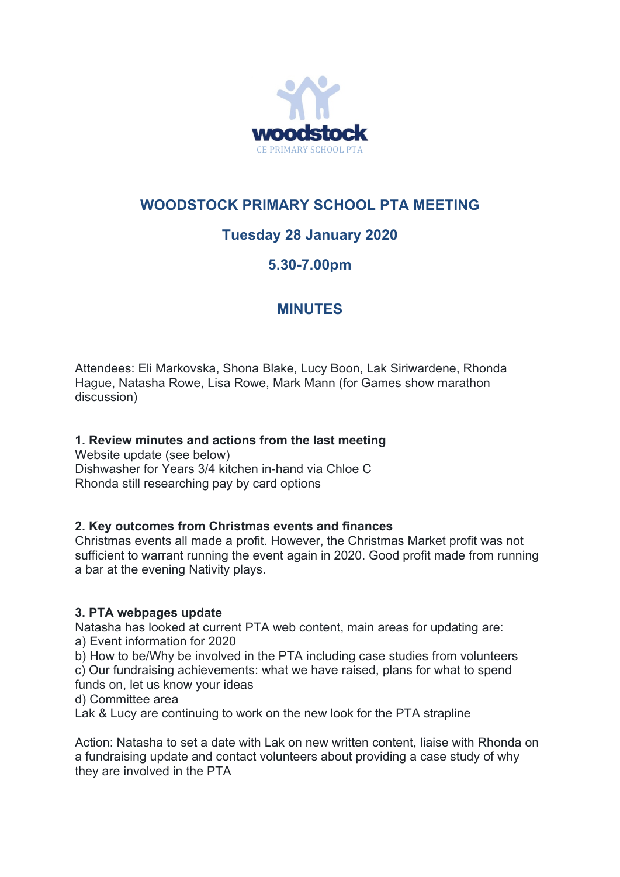

## **WOODSTOCK PRIMARY SCHOOL PTA MEETING**

# **Tuesday 28 January 2020**

## **5.30-7.00pm**

## **MINUTES**

Attendees: Eli Markovska, Shona Blake, Lucy Boon, Lak Siriwardene, Rhonda Hague, Natasha Rowe, Lisa Rowe, Mark Mann (for Games show marathon discussion)

## **1. Review minutes and actions from the last meeting**

Website update (see below) Dishwasher for Years 3/4 kitchen in-hand via Chloe C Rhonda still researching pay by card options

## **2. Key outcomes from Christmas events and finances**

Christmas events all made a profit. However, the Christmas Market profit was not sufficient to warrant running the event again in 2020. Good profit made from running a bar at the evening Nativity plays.

## **3. PTA webpages update**

Natasha has looked at current PTA web content, main areas for updating are: a) Event information for 2020

b) How to be/Why be involved in the PTA including case studies from volunteers c) Our fundraising achievements: what we have raised, plans for what to spend funds on, let us know your ideas

d) Committee area

Lak & Lucy are continuing to work on the new look for the PTA strapline

Action: Natasha to set a date with Lak on new written content, liaise with Rhonda on a fundraising update and contact volunteers about providing a case study of why they are involved in the PTA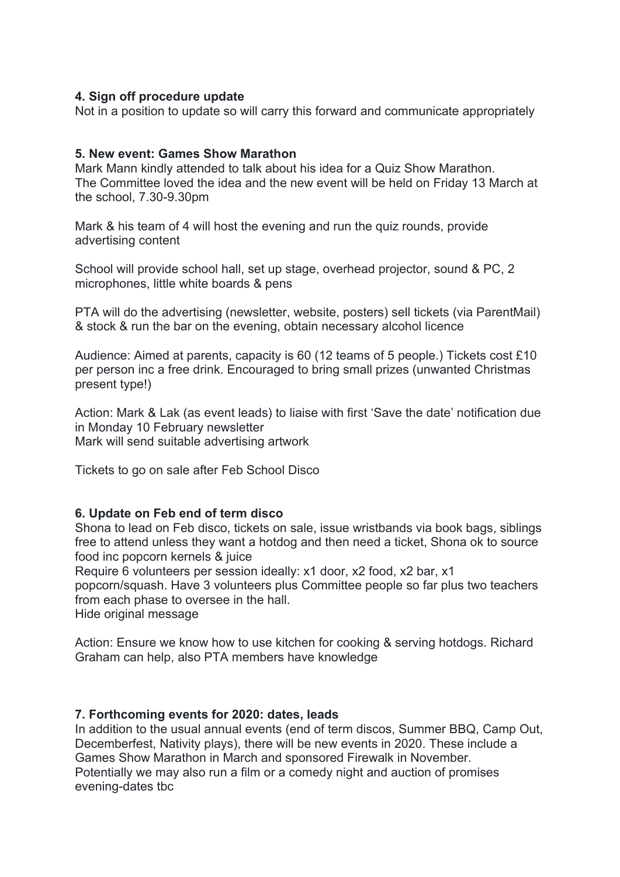### **4. Sign off procedure update**

Not in a position to update so will carry this forward and communicate appropriately

### **5. New event: Games Show Marathon**

Mark Mann kindly attended to talk about his idea for a Quiz Show Marathon. The Committee loved the idea and the new event will be held on Friday 13 March at the school, 7.30-9.30pm

Mark & his team of 4 will host the evening and run the quiz rounds, provide advertising content

School will provide school hall, set up stage, overhead projector, sound & PC, 2 microphones, little white boards & pens

PTA will do the advertising (newsletter, website, posters) sell tickets (via ParentMail) & stock & run the bar on the evening, obtain necessary alcohol licence

Audience: Aimed at parents, capacity is 60 (12 teams of 5 people.) Tickets cost £10 per person inc a free drink. Encouraged to bring small prizes (unwanted Christmas present type!)

Action: Mark & Lak (as event leads) to liaise with first 'Save the date' notification due in Monday 10 February newsletter Mark will send suitable advertising artwork

Tickets to go on sale after Feb School Disco

### **6. Update on Feb end of term disco**

Shona to lead on Feb disco, tickets on sale, issue wristbands via book bags, siblings free to attend unless they want a hotdog and then need a ticket, Shona ok to source food inc popcorn kernels & juice

Require 6 volunteers per session ideally: x1 door, x2 food, x2 bar, x1

popcorn/squash. Have 3 volunteers plus Committee people so far plus two teachers from each phase to oversee in the hall.

Hide original message

Action: Ensure we know how to use kitchen for cooking & serving hotdogs. Richard Graham can help, also PTA members have knowledge

### **7. Forthcoming events for 2020: dates, leads**

In addition to the usual annual events (end of term discos, Summer BBQ, Camp Out, Decemberfest, Nativity plays), there will be new events in 2020. These include a Games Show Marathon in March and sponsored Firewalk in November. Potentially we may also run a film or a comedy night and auction of promises evening-dates tbc